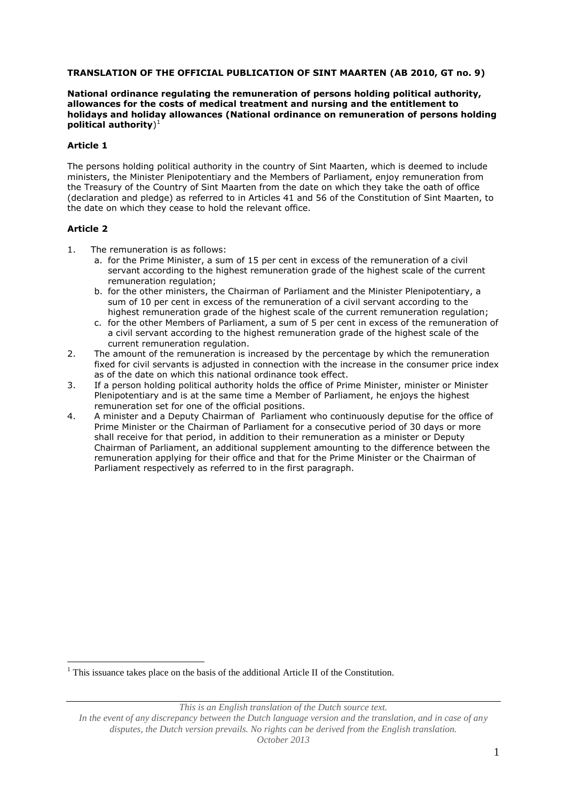#### **TRANSLATION OF THE OFFICIAL PUBLICATION OF SINT MAARTEN (AB 2010, GT no. 9)**

#### **National ordinance regulating the remuneration of persons holding political authority, allowances for the costs of medical treatment and nursing and the entitlement to holidays and holiday allowances (National ordinance on remuneration of persons holding political authority**) 1

#### **Article 1**

The persons holding political authority in the country of Sint Maarten, which is deemed to include ministers, the Minister Plenipotentiary and the Members of Parliament, enjoy remuneration from the Treasury of the Country of Sint Maarten from the date on which they take the oath of office (declaration and pledge) as referred to in Articles 41 and 56 of the Constitution of Sint Maarten, to the date on which they cease to hold the relevant office.

#### **Article 2**

<u>.</u>

- 1. The remuneration is as follows:
	- a. for the Prime Minister, a sum of 15 per cent in excess of the remuneration of a civil servant according to the highest remuneration grade of the highest scale of the current remuneration regulation;
	- b. for the other ministers, the Chairman of Parliament and the Minister Plenipotentiary, a sum of 10 per cent in excess of the remuneration of a civil servant according to the highest remuneration grade of the highest scale of the current remuneration regulation;
	- c. for the other Members of Parliament, a sum of 5 per cent in excess of the remuneration of a civil servant according to the highest remuneration grade of the highest scale of the current remuneration regulation.
- 2. The amount of the remuneration is increased by the percentage by which the remuneration fixed for civil servants is adjusted in connection with the increase in the consumer price index as of the date on which this national ordinance took effect.
- 3. If a person holding political authority holds the office of Prime Minister, minister or Minister Plenipotentiary and is at the same time a Member of Parliament, he enjoys the highest remuneration set for one of the official positions.
- 4. A minister and a Deputy Chairman of Parliament who continuously deputise for the office of Prime Minister or the Chairman of Parliament for a consecutive period of 30 days or more shall receive for that period, in addition to their remuneration as a minister or Deputy Chairman of Parliament, an additional supplement amounting to the difference between the remuneration applying for their office and that for the Prime Minister or the Chairman of Parliament respectively as referred to in the first paragraph.

 $1$ <sup>1</sup> This issuance takes place on the basis of the additional Article II of the Constitution.

*This is an English translation of the Dutch source text.*

*In the event of any discrepancy between the Dutch language version and the translation, and in case of any disputes, the Dutch version prevails. No rights can be derived from the English translation. October 2013*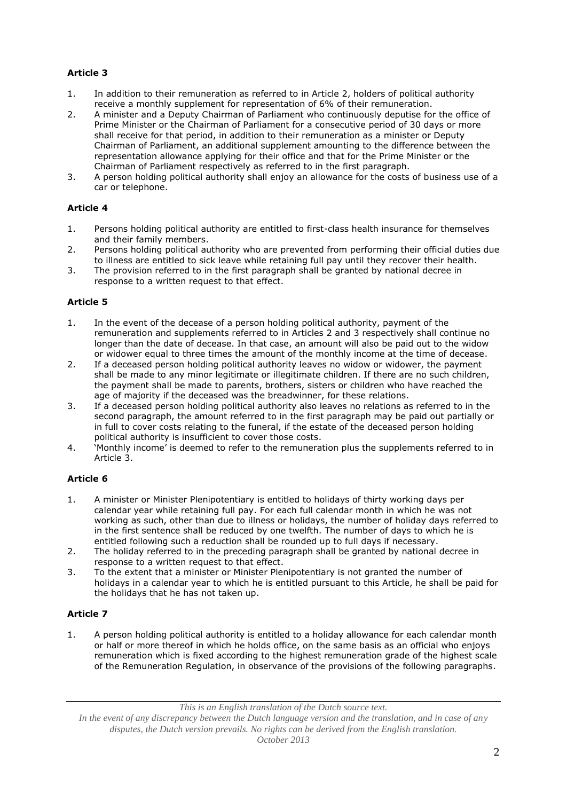# **Article 3**

- 1. In addition to their remuneration as referred to in Article 2, holders of political authority receive a monthly supplement for representation of 6% of their remuneration.
- 2. A minister and a Deputy Chairman of Parliament who continuously deputise for the office of Prime Minister or the Chairman of Parliament for a consecutive period of 30 days or more shall receive for that period, in addition to their remuneration as a minister or Deputy Chairman of Parliament, an additional supplement amounting to the difference between the representation allowance applying for their office and that for the Prime Minister or the Chairman of Parliament respectively as referred to in the first paragraph.
- 3. A person holding political authority shall enjoy an allowance for the costs of business use of a car or telephone.

# **Article 4**

- 1. Persons holding political authority are entitled to first-class health insurance for themselves and their family members.
- 2. Persons holding political authority who are prevented from performing their official duties due to illness are entitled to sick leave while retaining full pay until they recover their health.
- 3. The provision referred to in the first paragraph shall be granted by national decree in response to a written request to that effect.

### **Article 5**

- 1. In the event of the decease of a person holding political authority, payment of the remuneration and supplements referred to in Articles 2 and 3 respectively shall continue no longer than the date of decease. In that case, an amount will also be paid out to the widow or widower equal to three times the amount of the monthly income at the time of decease.
- 2. If a deceased person holding political authority leaves no widow or widower, the payment shall be made to any minor legitimate or illegitimate children. If there are no such children, the payment shall be made to parents, brothers, sisters or children who have reached the age of majority if the deceased was the breadwinner, for these relations.
- 3. If a deceased person holding political authority also leaves no relations as referred to in the second paragraph, the amount referred to in the first paragraph may be paid out partially or in full to cover costs relating to the funeral, if the estate of the deceased person holding political authority is insufficient to cover those costs.
- 4. 'Monthly income' is deemed to refer to the remuneration plus the supplements referred to in Article 3.

### **Article 6**

- 1. A minister or Minister Plenipotentiary is entitled to holidays of thirty working days per calendar year while retaining full pay. For each full calendar month in which he was not working as such, other than due to illness or holidays, the number of holiday days referred to in the first sentence shall be reduced by one twelfth. The number of days to which he is entitled following such a reduction shall be rounded up to full days if necessary.
- 2. The holiday referred to in the preceding paragraph shall be granted by national decree in response to a written request to that effect.
- 3. To the extent that a minister or Minister Plenipotentiary is not granted the number of holidays in a calendar year to which he is entitled pursuant to this Article, he shall be paid for the holidays that he has not taken up.

# **Article 7**

1. A person holding political authority is entitled to a holiday allowance for each calendar month or half or more thereof in which he holds office, on the same basis as an official who enjoys remuneration which is fixed according to the highest remuneration grade of the highest scale of the Remuneration Regulation, in observance of the provisions of the following paragraphs.

*This is an English translation of the Dutch source text.*

*In the event of any discrepancy between the Dutch language version and the translation, and in case of any disputes, the Dutch version prevails. No rights can be derived from the English translation. October 2013*